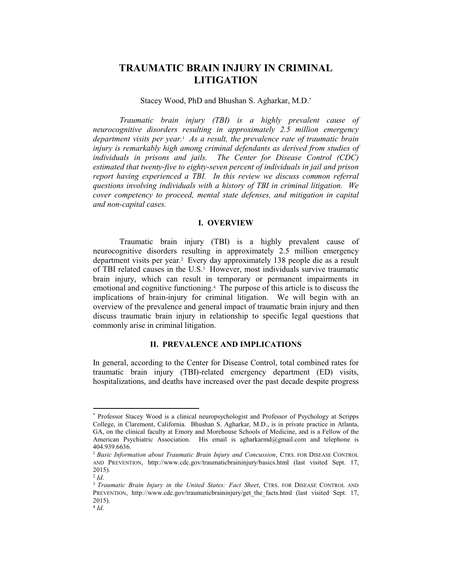# **TRAUMATIC BRAIN INJURY IN CRIMINAL LITIGATION**

### Stacey Wood, PhD and Bhushan S. Agharkar, M.D.\*

*Traumatic brain injury (TBI) is a highly prevalent cause of neurocognitive disorders resulting in approximately 2.5 million emergency department visits per year. As a result, the prevalence rate of traumatic brain injury is remarkably high among criminal defendants as derived from studies of individuals in prisons and jails. The Center for Disease Control (CDC) estimated that twenty-five to eighty-seven percent of individuals in jail and prison report having experienced a TBI. In this review we discuss common referral questions involving individuals with a history of TBI in criminal litigation. We cover competency to proceed, mental state defenses, and mitigation in capital and non-capital cases.*

## **I. OVERVIEW**

Traumatic brain injury (TBI) is a highly prevalent cause of neurocognitive disorders resulting in approximately 2.5 million emergency department visits per year.<sup>2</sup> Every day approximately 138 people die as a result of TBI related causes in the U.S.<sup>3</sup> However, most individuals survive traumatic brain injury, which can result in temporary or permanent impairments in emotional and cognitive functioning.<sup>4</sup> The purpose of this article is to discuss the implications of brain-injury for criminal litigation. We will begin with an overview of the prevalence and general impact of traumatic brain injury and then discuss traumatic brain injury in relationship to specific legal questions that commonly arise in criminal litigation.

## **II. PREVALENCE AND IMPLICATIONS**

In general, according to the Center for Disease Control, total combined rates for traumatic brain injury (TBI)-related emergency department (ED) visits, hospitalizations, and deaths have increased over the past decade despite progress

<sup>\*</sup> Professor Stacey Wood is a clinical neuropsychologist and Professor of Psychology at Scripps College, in Claremont, California. Bhushan S. Agharkar, M.D., is in private practice in Atlanta, GA, on the clinical faculty at Emory and Morehouse Schools of Medicine, and is a Fellow of the American Psychiatric Association. His email is agharkarmd@gmail.com and telephone is 404.939.6636.

<sup>&</sup>lt;sup>1</sup> Basic Information about Traumatic Brain Injury and Concussion, CTRS. FOR DISEASE CONTROL AND PREVENTION, http://www.cdc.gov/traumaticbraininjury/basics.html (last visited Sept. 17,  $2015$ ).

 $^{2}$  *Id*.

<sup>&</sup>lt;sup>3</sup> Traumatic Brain Injury in the United States: Fact Sheet, CTRS. FOR DISEASE CONTROL AND PREVENTION, http://www.cdc.gov/traumaticbraininjury/get the facts.html (last visited Sept. 17,  $2015$ ).

 $4$  *Id*.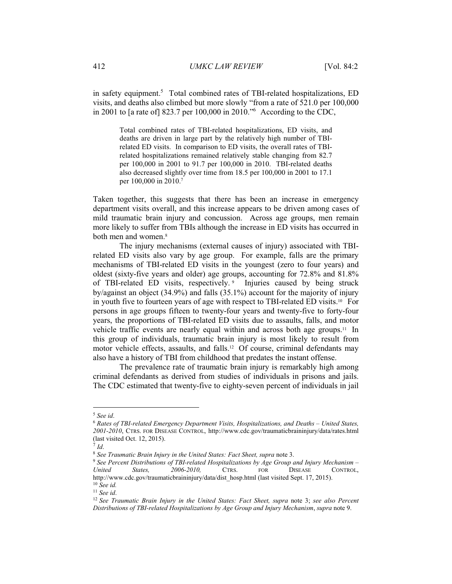in safety equipment.<sup>5</sup> Total combined rates of TBI-related hospitalizations, ED visits, and deaths also climbed but more slowly "from a rate of 521.0 per 100,000 in 2001 to [a rate of] 823.7 per 100,000 in 2010." According to the CDC,

Total combined rates of TBI-related hospitalizations, ED visits, and deaths are driven in large part by the relatively high number of TBIrelated ED visits. In comparison to ED visits, the overall rates of TBIrelated hospitalizations remained relatively stable changing from 82.7 per 100,000 in 2001 to 91.7 per 100,000 in 2010. TBI-related deaths also decreased slightly over time from 18.5 per 100,000 in 2001 to 17.1 per 100,000 in 2010.7

Taken together, this suggests that there has been an increase in emergency department visits overall, and this increase appears to be driven among cases of mild traumatic brain injury and concussion. Across age groups, men remain more likely to suffer from TBIs although the increase in ED visits has occurred in both men and women.<sup>8</sup>

The injury mechanisms (external causes of injury) associated with TBIrelated ED visits also vary by age group. For example, falls are the primary mechanisms of TBI-related ED visits in the youngest (zero to four years) and oldest (sixty-five years and older) age groups, accounting for 72.8% and 81.8% of TBI-related ED visits, respectively. Injuries caused by being struck by/against an object  $(34.9\%)$  and falls  $(35.1\%)$  account for the majority of injury in youth five to fourteen years of age with respect to TBI-related ED visits.<sup>10</sup> For persons in age groups fifteen to twenty-four years and twenty-five to forty-four years, the proportions of TBI-related ED visits due to assaults, falls, and motor vehicle traffic events are nearly equal within and across both age groups.<sup>11</sup> In this group of individuals, traumatic brain injury is most likely to result from motor vehicle effects, assaults, and falls.<sup>12</sup> Of course, criminal defendants may also have a history of TBI from childhood that predates the instant offense.

The prevalence rate of traumatic brain injury is remarkably high among criminal defendants as derived from studies of individuals in prisons and jails. The CDC estimated that twenty-five to eighty-seven percent of individuals in jail

<sup>&</sup>lt;sup>5</sup> See id.

 $6$  Rates of TBI-related Emergency Department Visits, Hospitalizations, and Deaths – United States, 2001-2010, CTRS. FOR DISEASE CONTROL, http://www.cdc.gov/traumaticbraininjury/data/rates.html (last visited Oct. 12, 2015).

 $^7$  Id.

<sup>&</sup>lt;sup>8</sup> See Traumatic Brain Injury in the United States: Fact Sheet, supra note 3.

 $9$  See Percent Distributions of TBI-related Hospitalizations by Age Group and Injury Mechanism -United States. 2006-2010, **FOR DISEASE** CONTROL. CTRS. http://www.cdc.gov/traumaticbraininjury/data/dist\_hosp.html (last visited Sept. 17, 2015).  $10$  See id.

 $11$  See id.

<sup>&</sup>lt;sup>12</sup> See Traumatic Brain Injury in the United States: Fact Sheet, supra note 3; see also Percent Distributions of TBI-related Hospitalizations by Age Group and Injury Mechanism, supra note 9.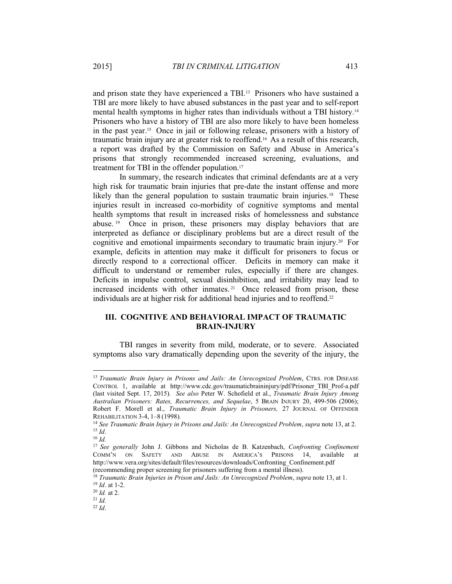and prison state they have experienced a TBI.<sup>13</sup> Prisoners who have sustained a TBI are more likely to have abused substances in the past year and to self-report mental health symptoms in higher rates than individuals without a TBI history.<sup>14</sup> Prisoners who have a history of TBI are also more likely to have been homeless in the past year.<sup>15</sup> Once in jail or following release, prisoners with a history of traumatic brain injury are at greater risk to reoffend.<sup>16</sup> As a result of this research, a report was drafted by the Commission on Safety and Abuse in America's prisons that strongly recommended increased screening, evaluations, and treatment for TBI in the offender population.<sup>17</sup>

In summary, the research indicates that criminal defendants are at a very high risk for traumatic brain injuries that pre-date the instant offense and more likely than the general population to sustain traumatic brain injuries.<sup>18</sup> These injuries result in increased co-morbidity of cognitive symptoms and mental health symptoms that result in increased risks of homelessness and substance abuse.<sup>19</sup> Once in prison, these prisoners may display behaviors that are interpreted as defiance or disciplinary problems but are a direct result of the cognitive and emotional impairments secondary to traumatic brain injury.<sup>20</sup> For example, deficits in attention may make it difficult for prisoners to focus or directly respond to a correctional officer. Deficits in memory can make it difficult to understand or remember rules, especially if there are changes. Deficits in impulse control, sexual disinhibition, and irritability may lead to increased incidents with other inmates.<sup>21</sup> Once released from prison, these individuals are at higher risk for additional head injuries and to reoffend.<sup>22</sup>

# **III. COGNITIVE AND BEHAVIORAL IMPACT OF TRAUMATIC BRAIN-INJURY**

TBI ranges in severity from mild, moderate, or to severe. Associated symptoms also vary dramatically depending upon the severity of the injury, the

<sup>&</sup>lt;sup>13</sup> Traumatic Brain Injury in Prisons and Jails: An Unrecognized Problem, CTRS. FOR DISEASE CONTROL 1, available at http://www.cdc.gov/traumaticbraininjury/pdf/Prisoner TBI Prof-a.pdf (last visited Sept. 17, 2015). See also Peter W. Schofield et al., *Traumatic Brain Injury Among Australian Prisoners: Rates, Recurrences, and Sequelae*, 5 BRAIN INJURY 20, 499-506 (2006); Robert F. Morell et al., *Traumatic Brain Injury in Prisoners*, 27 JOURNAL OF OFFENDER REHABILITATION 3-4, 1-8 (1998).

<sup>&</sup>lt;sup>14</sup> See Traumatic Brain Injury in Prisons and Jails: An Unrecognized Problem, supra note 13, at 2.  $^{15}$  *Id.* 

*Id.*

<sup>&</sup>lt;sup>17</sup> See generally John J. Gibbons and Nicholas de B. Katzenbach, *Confronting Confinement* COMM'N ON SAFETY AND ABUSE IN AMERICA'S PRISONS 14, available at http://www.vera.org/sites/default/files/resources/downloads/Confronting Confinement.pdf (recommending proper screening for prisoners suffering from a mental illness).

<sup>&</sup>lt;sup>18</sup> Traumatic Brain Injuries in Prison and Jails: An Unrecognized Problem, supra note 13, at 1.  $^{19}$  *Id.* at 1-2.

 $^{20}$  *Id.* at 2.

*Id.*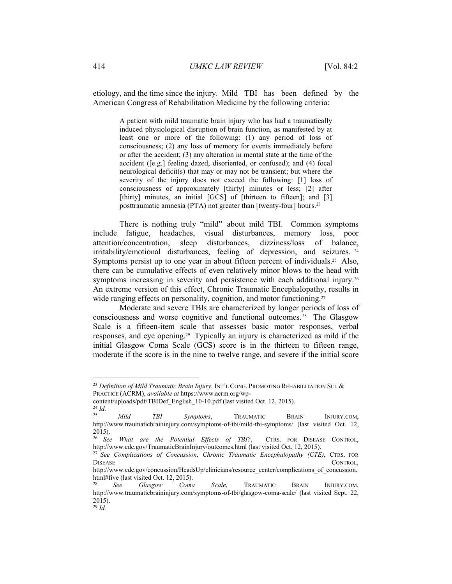etiology, and the time since the injury. Mild TBI has been defined by the American Congress of Rehabilitation Medicine by the following criteria:

> A patient with mild traumatic brain injury who has had a traumatically induced physiological disruption of brain function, as manifested by at least one or more of the following:  $(1)$  any period of loss of consciousness; (2) any loss of memory for events immediately before or after the accident; (3) any alteration in mental state at the time of the accident ([e.g.] feeling dazed, disoriented, or confused); and (4) focal neurological deficit(s) that may or may not be transient; but where the severity of the injury does not exceed the following: [1] loss of consciousness of approximately [thirty] minutes or less; [2] after [thirty] minutes, an initial  $[GCS]$  of [thirteen to fifteen]; and  $[3]$ posttraumatic amnesia (PTA) not greater than [twenty-four] hours.<sup>23</sup>

There is nothing truly "mild" about mild TBI. Common symptoms include fatigue, headaches, visual disturbances, memory loss, poor attention/concentration, sleep disturbances, dizziness/loss of balance, irritability/emotional disturbances, feeling of depression, and seizures.  $24$ Symptoms persist up to one year in about fifteen percent of individuals.<sup>25</sup> Also, there can be cumulative effects of even relatively minor blows to the head with symptoms increasing in severity and persistence with each additional injury.<sup>26</sup> An extreme version of this effect, Chronic Traumatic Encephalopathy, results in wide ranging effects on personality, cognition, and motor functioning.<sup>27</sup>

Moderate and severe TBIs are characterized by longer periods of loss of consciousness and worse cognitive and functional outcomes.<sup>28</sup> The Glasgow Scale is a fifteen-item scale that assesses basic motor responses, verbal responses, and eye opening.<sup>29</sup> Typically an injury is characterized as mild if the initial Glasgow Coma Scale (GCS) score is in the thirteen to fifteen range, moderate if the score is in the nine to twelve range, and severe if the initial score

<sup>&</sup>lt;sup>23</sup> Definition of Mild Traumatic Brain Injury, INT'L CONG. PROMOTING REHABILITATION SCI. & PRACTICE (ACRM), available at https://www.acrm.org/wp-

content/uploads/pdf/TBIDef English 10-10.pdf (last visited Oct. 12, 2015).

 $\frac{24}{25}$  *Id. Mild TBI Symptoms*, TRAUMATIC BRAIN INJURY.COM, http://www.traumaticbraininjury.com/symptoms-of-tbi/mild-tbi-symptoms/ (last visited Oct. 12,  $2015$ ).

<sup>&</sup>lt;sup>26</sup> See What are the Potential Effects of TBI?, CTRS. FOR DISEASE CONTROL, http://www.cdc.gov/TraumaticBrainInjury/outcomes.html (last visited Oct. 12, 2015).

<sup>&</sup>lt;sup>27</sup> See Complications of Concussion, Chronic Traumatic Encephalopathy (CTE), CTRS. FOR  $\blacksquare$ DISEASE CONTROL,

http://www.cdc.gov/concussion/HeadsUp/clinicians/resource center/complications of concussion. html#five (last visited Oct. 12, 2015).

*See Glasgow Coma Scale*, TRAUMATIC BRAIN INJURY.COM, http://www.traumaticbraininjury.com/symptoms-of-tbi/glasgow-coma-scale/ (last visited Sept. 22,  $2015$ ).  *Id.*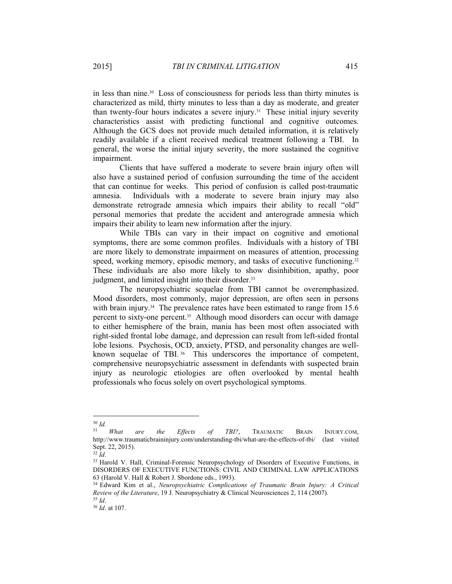in less than nine.<sup>30</sup> Loss of consciousness for periods less than thirty minutes is characterized as mild, thirty minutes to less than a day as moderate, and greater than twenty-four hours indicates a severe injury.<sup>31</sup> These initial injury severity characteristics assist with predicting functional and cognitive outcomes. Although the GCS does not provide much detailed information, it is relatively readily available if a client received medical treatment following a TBI. In general, the worse the initial injury severity, the more sustained the cognitive impairment.

Clients that have suffered a moderate to severe brain injury often will also have a sustained period of confusion surrounding the time of the accident that can continue for weeks. This period of confusion is called post-traumatic amnesia. Individuals with a moderate to severe brain injury may also demonstrate retrograde amnesia which impairs their ability to recall "old" personal memories that predate the accident and anterograde amnesia which impairs their ability to learn new information after the injury.

While TBIs can vary in their impact on cognitive and emotional symptoms, there are some common profiles. Individuals with a history of TBI are more likely to demonstrate impairment on measures of attention, processing speed, working memory, episodic memory, and tasks of executive functioning.<sup>32</sup> These individuals are also more likely to show disinhibition, apathy, poor judgment, and limited insight into their disorder.<sup>33</sup>

The neuropsychiatric sequelae from TBI cannot be overemphasized. Mood disorders, most commonly, major depression, are often seen in persons with brain injury.<sup>34</sup> The prevalence rates have been estimated to range from  $15.6$ percent to sixty-one percent.<sup>35</sup> Although mood disorders can occur with damage to either hemisphere of the brain, mania has been most often associated with right-sided frontal lobe damage, and depression can result from left-sided frontal lobe lesions. Psychosis, OCD, anxiety, PTSD, and personality changes are wellknown sequelae of TBI.<sup>36</sup> This underscores the importance of competent, comprehensive neuropsychiatric assessment in defendants with suspected brain injury as neurologic etiologies are often overlooked by mental health professionals who focus solely on overt psychological symptoms.

 $\frac{30}{31}$ *Id.* 

*What are the Effects of TBI?*, TRAUMATIC BRAIN INJURY.COM, http://www.traumaticbraininjury.com/understanding-tbi/what-are-the-effects-of-tbi/ (last visited Sept. 22, 2015).

 $\frac{32}{Id}$ .

<sup>33</sup> Harold V. Hall, Criminal-Forensic Neuropsychology of Disorders of Executive Functions, in DISORDERS OF EXECUTIVE FUNCTIONS: CIVIL AND CRIMINAL LAW APPLICATIONS 63 (Harold V. Hall & Robert J. Sbordone eds., 1993).

<sup>&</sup>lt;sup>34</sup> Edward Kim et al., *Neuropsychiatric Complications of Traumatic Brain Injury: A Critical Review of the Literature*, 19 J. Neuropsychiatry & Clinical Neurosciences 2, 114 (2007).  $^{35}$  *Id.* 

<sup>&</sup>lt;sup>36</sup> *Id*. at 107.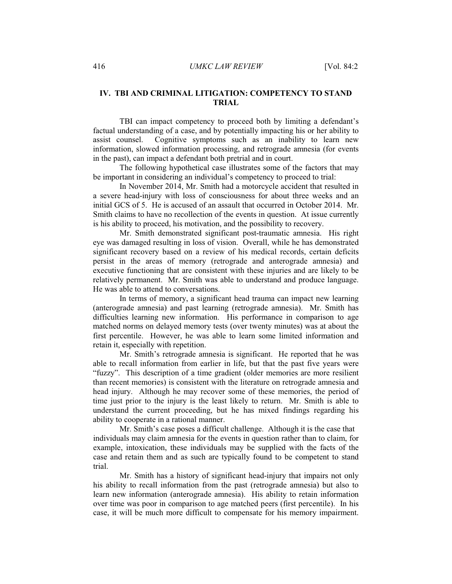## IV. TBI AND CRIMINAL LITIGATION: COMPETENCY TO STAND **TRIAL**

TBI can impact competency to proceed both by limiting a defendant's factual understanding of a case, and by potentially impacting his or her ability to Cognitive symptoms such as an inability to learn new assist counsel. information, slowed information processing, and retrograde amnesia (for events in the past), can impact a defendant both pretrial and in court.

The following hypothetical case illustrates some of the factors that may be important in considering an individual's competency to proceed to trial:

In November 2014, Mr. Smith had a motorcycle accident that resulted in a severe head-injury with loss of consciousness for about three weeks and an initial GCS of 5. He is accused of an assault that occurred in October 2014. Mr. Smith claims to have no recollection of the events in question. At issue currently is his ability to proceed, his motivation, and the possibility to recovery.

Mr. Smith demonstrated significant post-traumatic amnesia. His right eye was damaged resulting in loss of vision. Overall, while he has demonstrated significant recovery based on a review of his medical records, certain deficits persist in the areas of memory (retrograde and anterograde amnesia) and executive functioning that are consistent with these injuries and are likely to be relatively permanent. Mr. Smith was able to understand and produce language. He was able to attend to conversations.

In terms of memory, a significant head trauma can impact new learning (anterograde amnesia) and past learning (retrograde amnesia). Mr. Smith has difficulties learning new information. His performance in comparison to age matched norms on delayed memory tests (over twenty minutes) was at about the first percentile. However, he was able to learn some limited information and retain it, especially with repetition.

Mr. Smith's retrograde amnesia is significant. He reported that he was able to recall information from earlier in life, but that the past five years were "fuzzy". This description of a time gradient (older memories are more resilient than recent memories) is consistent with the literature on retrograde amnesia and head injury. Although he may recover some of these memories, the period of time just prior to the injury is the least likely to return. Mr. Smith is able to understand the current proceeding, but he has mixed findings regarding his ability to cooperate in a rational manner.

Mr. Smith's case poses a difficult challenge. Although it is the case that individuals may claim amnesia for the events in question rather than to claim, for example, intoxication, these individuals may be supplied with the facts of the case and retain them and as such are typically found to be competent to stand trial.

Mr. Smith has a history of significant head-injury that impairs not only his ability to recall information from the past (retrograde amnesia) but also to learn new information (anterograde amnesia). His ability to retain information over time was poor in comparison to age matched peers (first percentile). In his case, it will be much more difficult to compensate for his memory impairment.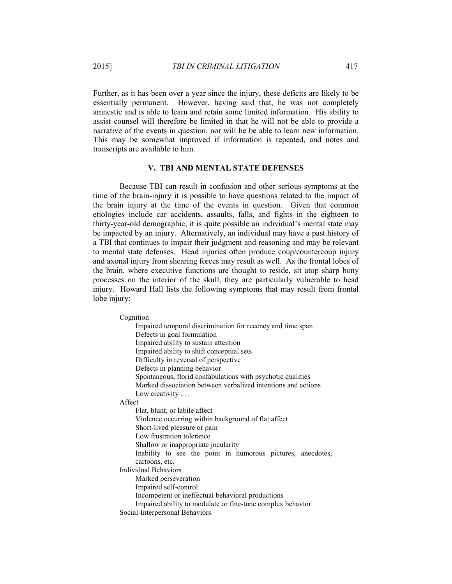Further, as it has been over a year since the injury, these deficits are likely to be essentially permanent. However, having said that, he was not completely amnestic and is able to learn and retain some limited information. His ability to assist counsel will therefore be limited in that he will not be able to provide a narrative of the events in question, nor will he be able to learn new information. This may be somewhat improved if information is repeated, and notes and transcripts are available to him.

#### **V. TBI AND MENTAL STATE DEFENSES**

Because TBI can result in confusion and other serious symptoms at the time of the brain-injury it is possible to have questions related to the impact of the brain injury at the time of the events in question. Given that common etiologies include car accidents, assaults, falls, and fights in the eighteen to thirty-year-old demographic, it is quite possible an individual's mental state may be impacted by an injury. Alternatively, an individual may have a past history of a TBI that continues to impair their judgment and reasoning and may be relevant to mental state defenses. Head injuries often produce coup/countercoup injury and axonal injury from shearing forces may result as well. As the frontal lobes of the brain, where executive functions are thought to reside, sit atop sharp bony processes on the interior of the skull, they are particularly vulnerable to head injury. Howard Hall lists the following symptoms that may result from frontal lobe injury:

Cognition

Impaired temporal discrimination for recency and time span Defects in goal formulation Impaired ability to sustain attention Impaired ability to shift conceptual sets Difficulty in reversal of perspective Defects in planning behavior Spontaneous, florid confabulations with psychotic qualities Marked dissociation between verbalized intentions and actions Low creativity  $\ldots$ Affect Flat, blunt, or labile affect Violence occurring within background of flat affect Short-lived pleasure or pain Low frustration tolerance Shallow or inappropriate jocularity Inability to see the point in humorous pictures, anecdotes, cartoons, etc. Individual Behaviors Marked perseveration Impaired self-control Incompetent or ineffectual behavioral productions Impaired ability to modulate or fine-tune complex behavior Social-Interpersonal Behaviors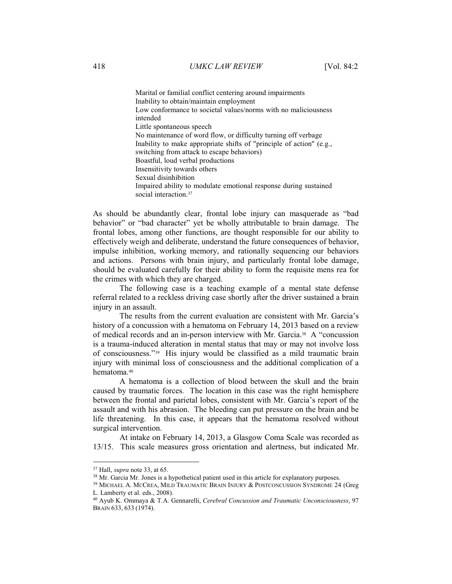Marital or familial conflict centering around impairments Inability to obtain/maintain employment Low conformance to societal values/norms with no maliciousness intended Little spontaneous speech No maintenance of word flow, or difficulty turning off verbage Inability to make appropriate shifts of "principle of action" (e.g., switching from attack to escape behaviors) Boastful, loud verbal productions Insensitivity towards others Sexual disinhibition Impaired ability to modulate emotional response during sustained social interaction.<sup>37</sup>

As should be abundantly clear, frontal lobe injury can masquerade as "bad" behavior" or "bad character" yet be wholly attributable to brain damage. The frontal lobes, among other functions, are thought responsible for our ability to effectively weigh and deliberate, understand the future consequences of behavior, impulse inhibition, working memory, and rationally sequencing our behaviors and actions. Persons with brain injury, and particularly frontal lobe damage, should be evaluated carefully for their ability to form the requisite mens rea for the crimes with which they are charged.

The following case is a teaching example of a mental state defense referral related to a reckless driving case shortly after the driver sustained a brain injury in an assault.

The results from the current evaluation are consistent with Mr. Garcia's history of a concussion with a hematoma on February 14, 2013 based on a review of medical records and an in-person interview with Mr. Garcia.<sup>38</sup> A "concussion" is a trauma-induced alteration in mental status that may or may not involve loss of consciousness."<sup>39</sup> His injury would be classified as a mild traumatic brain injury with minimal loss of consciousness and the additional complication of a hematoma.<sup>40</sup>

A hematoma is a collection of blood between the skull and the brain caused by traumatic forces. The location in this case was the right hemisphere between the frontal and parietal lobes, consistent with Mr. Garcia's report of the assault and with his abrasion. The bleeding can put pressure on the brain and be life threatening. In this case, it appears that the hematoma resolved without surgical intervention.

At intake on February 14, 2013, a Glasgow Coma Scale was recorded as 13/15. This scale measures gross orientation and alertness, but indicated Mr.

 $37$  Hall, *supra* note 33, at 65.

<sup>&</sup>lt;sup>38</sup> Mr. Garcia Mr. Jones is a hypothetical patient used in this article for explanatory purposes.

<sup>&</sup>lt;sup>39</sup> MICHAEL A. MCCREA, MILD TRAUMATIC BRAIN INJURY & POSTCONCUSSION SYNDROME 24 (Greg L. Lamberty et al. eds., 2008).

<sup>&</sup>lt;sup>40</sup> Ayub K. Ommaya & T.A. Gennarelli, Cerebral Concussion and Traumatic Unconsciousness, 97 BRAIN 633, 633 (1974).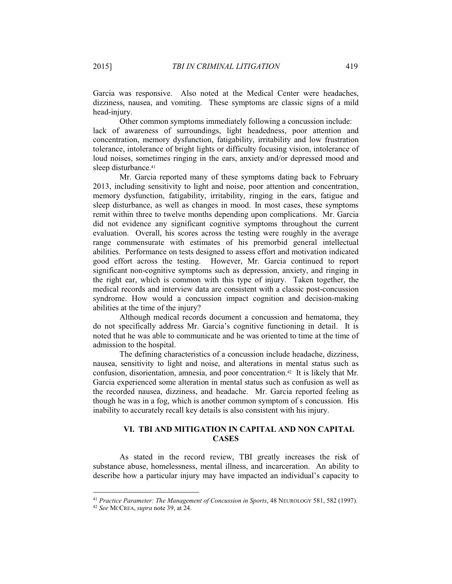Garcia was responsive. Also noted at the Medical Center were headaches, dizziness, nausea, and vomiting. These symptoms are classic signs of a mild head-injury.

Other common symptoms immediately following a concussion include: lack of awareness of surroundings, light headedness, poor attention and concentration, memory dysfunction, fatigability, irritability and low frustration tolerance, intolerance of bright lights or difficulty focusing vision, intolerance of loud noises, sometimes ringing in the ears, anxiety and/or depressed mood and sleep disturbance.<sup>41</sup>

Mr. Garcia reported many of these symptoms dating back to February 2013, including sensitivity to light and noise, poor attention and concentration, memory dysfunction, fatigability, irritability, ringing in the ears, fatigue and sleep disturbance, as well as changes in mood. In most cases, these symptoms remit within three to twelve months depending upon complications. Mr. Garcia did not evidence any significant cognitive symptoms throughout the current evaluation. Overall, his scores across the testing were roughly in the average range commensurate with estimates of his premorbid general intellectual abilities. Performance on tests designed to assess effort and motivation indicated good effort across the testing. However, Mr. Garcia continued to report significant non-cognitive symptoms such as depression, anxiety, and ringing in the right ear, which is common with this type of injury. Taken together, the medical records and interview data are consistent with a classic post-concussion syndrome. How would a concussion impact cognition and decision-making abilities at the time of the injury?

Although medical records document a concussion and hematoma, they do not specifically address Mr. Garcia's cognitive functioning in detail. It is noted that he was able to communicate and he was oriented to time at the time of admission to the hospital.

The defining characteristics of a concussion include headache, dizziness, nausea, sensitivity to light and noise, and alterations in mental status such as confusion, disorientation, amnesia, and poor concentration.<sup>42</sup> It is likely that Mr. Garcia experienced some alteration in mental status such as confusion as well as the recorded nausea, dizziness, and headache. Mr. Garcia reported feeling as though he was in a fog, which is another common symptom of s concussion. His inability to accurately recall key details is also consistent with his injury.

# VI. TBI AND MITIGATION IN CAPITAL AND NON CAPITAL **CASES**

As stated in the record review, TBI greatly increases the risk of substance abuse, homelessness, mental illness, and incarceration. An ability to describe how a particular injury may have impacted an individual's capacity to

<sup>&</sup>lt;sup>41</sup> Practice Parameter: The Management of Concussion in Sports, 48 NEUROLOGY 581, 582 (1997).

<sup>&</sup>lt;sup>42</sup> See MCCREA, *supra* note 39, at 24.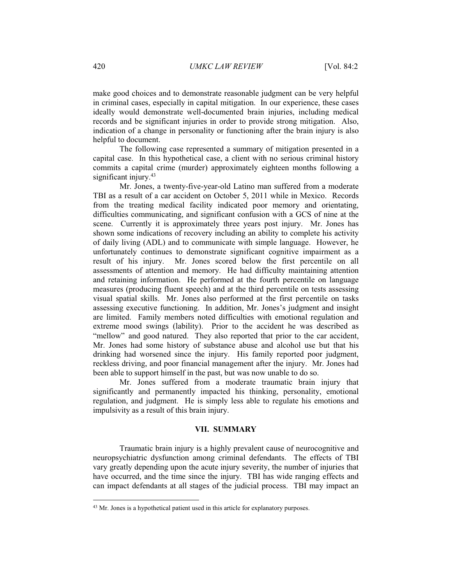make good choices and to demonstrate reasonable judgment can be very helpful in criminal cases, especially in capital mitigation. In our experience, these cases ideally would demonstrate well-documented brain injuries, including medical records and be significant injuries in order to provide strong mitigation. Also, indication of a change in personality or functioning after the brain injury is also helpful to document.

The following case represented a summary of mitigation presented in a capital case. In this hypothetical case, a client with no serious criminal history commits a capital crime (murder) approximately eighteen months following a significant injury. $43$ 

Mr. Jones, a twenty-five-year-old Latino man suffered from a moderate TBI as a result of a car accident on October 5, 2011 while in Mexico. Records from the treating medical facility indicated poor memory and orientating, difficulties communicating, and significant confusion with a GCS of nine at the scene. Currently it is approximately three years post injury. Mr. Jones has shown some indications of recovery including an ability to complete his activity of daily living (ADL) and to communicate with simple language. However, he unfortunately continues to demonstrate significant cognitive impairment as a result of his injury. Mr. Jones scored below the first percentile on all assessments of attention and memory. He had difficulty maintaining attention and retaining information. He performed at the fourth percentile on language measures (producing fluent speech) and at the third percentile on tests assessing visual spatial skills. Mr. Jones also performed at the first percentile on tasks assessing executive functioning. In addition, Mr. Jones's judgment and insight are limited. Family members noted difficulties with emotional regulation and extreme mood swings (lability). Prior to the accident he was described as "mellow" and good natured. They also reported that prior to the car accident, Mr. Jones had some history of substance abuse and alcohol use but that his drinking had worsened since the injury. His family reported poor judgment, reckless driving, and poor financial management after the injury. Mr. Jones had been able to support himself in the past, but was now unable to do so.

Mr. Jones suffered from a moderate traumatic brain injury that significantly and permanently impacted his thinking, personality, emotional regulation, and judgment. He is simply less able to regulate his emotions and impulsivity as a result of this brain injury.

#### **VII. SUMMARY**

Traumatic brain injury is a highly prevalent cause of neurocognitive and neuropsychiatric dysfunction among criminal defendants. The effects of TBI vary greatly depending upon the acute injury severity, the number of injuries that have occurred, and the time since the injury. TBI has wide ranging effects and can impact defendants at all stages of the judicial process. TBI may impact an

<sup>&</sup>lt;sup>43</sup> Mr. Jones is a hypothetical patient used in this article for explanatory purposes.